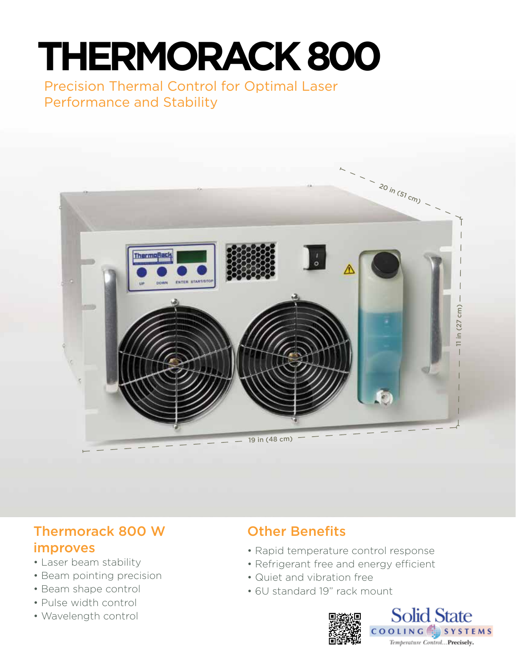# **THERMORACK 800**

Precision Thermal Control for Optimal Laser Performance and Stability



# Thermorack 800 W improves

- Laser beam stability
- Beam pointing precision
- Beam shape control
- Pulse width control
- Wavelength control

# Other Benefits

- Rapid temperature control response
- Refrigerant free and energy efficient
- Quiet and vibration free
- 6U standard 19" rack mount